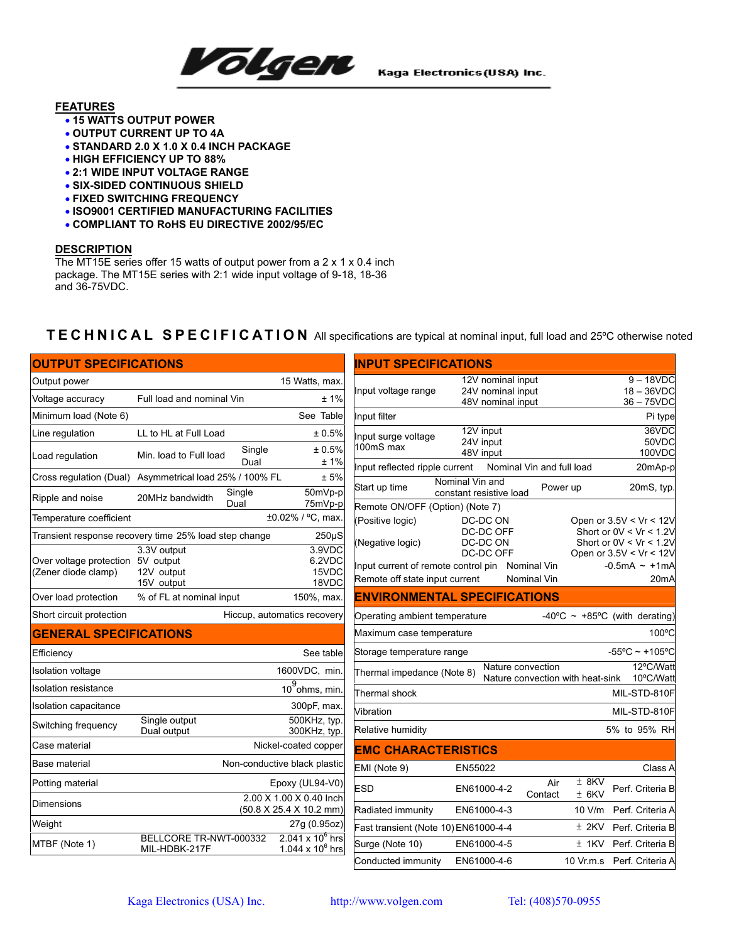

Kaga Electronics (USA) Inc.

## **FEATURES**

- **15 WATTS OUTPUT POWER**
- **OUTPUT CURRENT UP TO 4A**
- **STANDARD 2.0 X 1.0 X 0.4 INCH PACKAGE**
- **HIGH EFFICIENCY UP TO 88%**
- **2:1 WIDE INPUT VOLTAGE RANGE**
- **SIX-SIDED CONTINUOUS SHIELD**
- **FIXED SWITCHING FREQUENCY**
- **ISO9001 CERTIFIED MANUFACTURING FACILITIES**
- **COMPLIANT TO RoHS EU DIRECTIVE 2002/95/EC**

### **DESCRIPTION**

The MT15E series offer 15 watts of output power from a 2 x 1 x 0.4 inch package. The MT15E series with 2:1 wide input voltage of 9-18, 18-36 and 36-75VDC.

# **TECHNICAL SPECIFICATION** All specifications are typical at nominal input, full load and 25ºC otherwise noted

| <b>OUTPUT SPECIFICATIONS</b>                             |                                                                                          | <b>INPUT SPECIFICATIONS</b>                                                                                                                                                                                                                      |  |  |  |  |
|----------------------------------------------------------|------------------------------------------------------------------------------------------|--------------------------------------------------------------------------------------------------------------------------------------------------------------------------------------------------------------------------------------------------|--|--|--|--|
| Output power                                             | 15 Watts, max.                                                                           | $9 - 18VDC$<br>12V nominal input                                                                                                                                                                                                                 |  |  |  |  |
| Voltage accuracy                                         | Full load and nominal Vin<br>±1%                                                         | 24V nominal input<br>$18 - 36$ VDC<br>Input voltage range<br>48V nominal input<br>$36 - 75$ VDC                                                                                                                                                  |  |  |  |  |
| Minimum load (Note 6)                                    | See Table                                                                                | Input filter<br>Pi type                                                                                                                                                                                                                          |  |  |  |  |
| Line regulation                                          | LL to HL at Full Load<br>± 0.5%                                                          | 36VDC<br>12V input<br>Input surge voltage                                                                                                                                                                                                        |  |  |  |  |
| Load regulation                                          | Single<br>± 0.5%<br>Min. load to Full load<br>±1%<br>Dual                                | 50VDC<br>24V input<br>100mS max<br>48V input<br>100VDC<br>Nominal Vin and full load                                                                                                                                                              |  |  |  |  |
|                                                          | Cross regulation (Dual) Asymmetrical load 25% / 100% FL<br>± 5%                          | Input reflected ripple current<br>20mAp-p<br>Nominal Vin and                                                                                                                                                                                     |  |  |  |  |
| Ripple and noise                                         | 50mVp-p<br>Single<br>20MHz bandwidth<br>75mVp-p<br>Dual                                  | 20mS, typ.<br>Start up time<br>Power up<br>constant resistive load<br>Remote ON/OFF (Option) (Note 7)                                                                                                                                            |  |  |  |  |
| Temperature coefficient                                  | ±0.02% / °C, max.                                                                        | (Positive logic)<br>DC-DC ON<br>Open or 3.5V < Vr < 12V                                                                                                                                                                                          |  |  |  |  |
|                                                          | Transient response recovery time 25% load step change<br>$250\mu S$                      | Short or $0V < Vr < 1.2V$<br>DC-DC OFF                                                                                                                                                                                                           |  |  |  |  |
| Over voltage protection 5V output<br>(Zener diode clamp) | 3.9VDC<br>3.3V output<br>6.2VDC<br>15VDC<br>12V output<br>18VDC<br>15V output            | Short or $0V < Vr < 1.2V$<br>(Negative logic)<br>DC-DC ON<br>DC-DC OFF<br>Open or 3.5V < Vr < 12V<br>Input current of remote control pin Nominal Vin<br>$-0.5mA \sim +1mA$<br>Remote off state input current<br>20 <sub>m</sub> A<br>Nominal Vin |  |  |  |  |
| Over load protection                                     | % of FL at nominal input<br>150%, max.                                                   | <b>ENVIRONMENTAL SPECIFICATIONS</b>                                                                                                                                                                                                              |  |  |  |  |
| Short circuit protection                                 | Hiccup, automatics recovery                                                              | -40°C ~ +85°C (with derating)<br>Operating ambient temperature                                                                                                                                                                                   |  |  |  |  |
| <b>GENERAL SPECIFICATIONS</b>                            |                                                                                          | 100°C<br>Maximum case temperature                                                                                                                                                                                                                |  |  |  |  |
| Efficiency                                               | See table                                                                                | $-55^{\circ}$ C ~ +105°C<br>Storage temperature range                                                                                                                                                                                            |  |  |  |  |
| Isolation voltage                                        | 1600VDC, min.                                                                            | 12°C/Watt<br>Nature convection<br>Thermal impedance (Note 8)<br>Nature convection with heat-sink<br>10°C/Watt                                                                                                                                    |  |  |  |  |
| <b>Isolation resistance</b>                              | $\overline{10^9}$ ohms, min.                                                             | Thermal shock<br>MIL-STD-810F                                                                                                                                                                                                                    |  |  |  |  |
| Isolation capacitance                                    | 300pF, max.                                                                              | MIL-STD-810F<br>Vibration                                                                                                                                                                                                                        |  |  |  |  |
| Switching frequency                                      | Single output<br>500KHz, typ.<br>Dual output<br>300KHz, typ.                             | 5% to 95% RH<br>Relative humidity                                                                                                                                                                                                                |  |  |  |  |
| Case material                                            | Nickel-coated copper                                                                     | <b>EMC CHARACTERISTICS</b>                                                                                                                                                                                                                       |  |  |  |  |
| Base material                                            | Non-conductive black plastic                                                             | EMI (Note 9)<br>Class A<br>EN55022                                                                                                                                                                                                               |  |  |  |  |
| Potting material                                         | Epoxy (UL94-V0)                                                                          | $±$ 8KV<br>Air<br><b>ESD</b><br>Perf. Criteria B<br>EN61000-4-2<br>Contact<br>$±$ 6KV                                                                                                                                                            |  |  |  |  |
| <b>Dimensions</b>                                        | 2.00 X 1.00 X 0.40 Inch<br>(50.8 X 25.4 X 10.2 mm)                                       | Radiated immunity<br>EN61000-4-3<br>10 V/m<br>Perf. Criteria A                                                                                                                                                                                   |  |  |  |  |
| Weight                                                   | 27g (0.95oz)                                                                             | $±$ 2KV<br>Fast transient (Note 10) EN61000-4-4<br>Perf. Criteria B                                                                                                                                                                              |  |  |  |  |
| MTBF (Note 1)                                            | $2.041 \times 10^6$ hrs<br>BELLCORE TR-NWT-000332<br>1.044 x $10^6$ hrs<br>MIL-HDBK-217F | Surge (Note 10)<br>EN61000-4-5<br>$±$ 1KV<br>Perf. Criteria B                                                                                                                                                                                    |  |  |  |  |
|                                                          |                                                                                          | Conducted immunity<br>EN61000-4-6<br>10 Vr.m.s Perf. Criteria A                                                                                                                                                                                  |  |  |  |  |